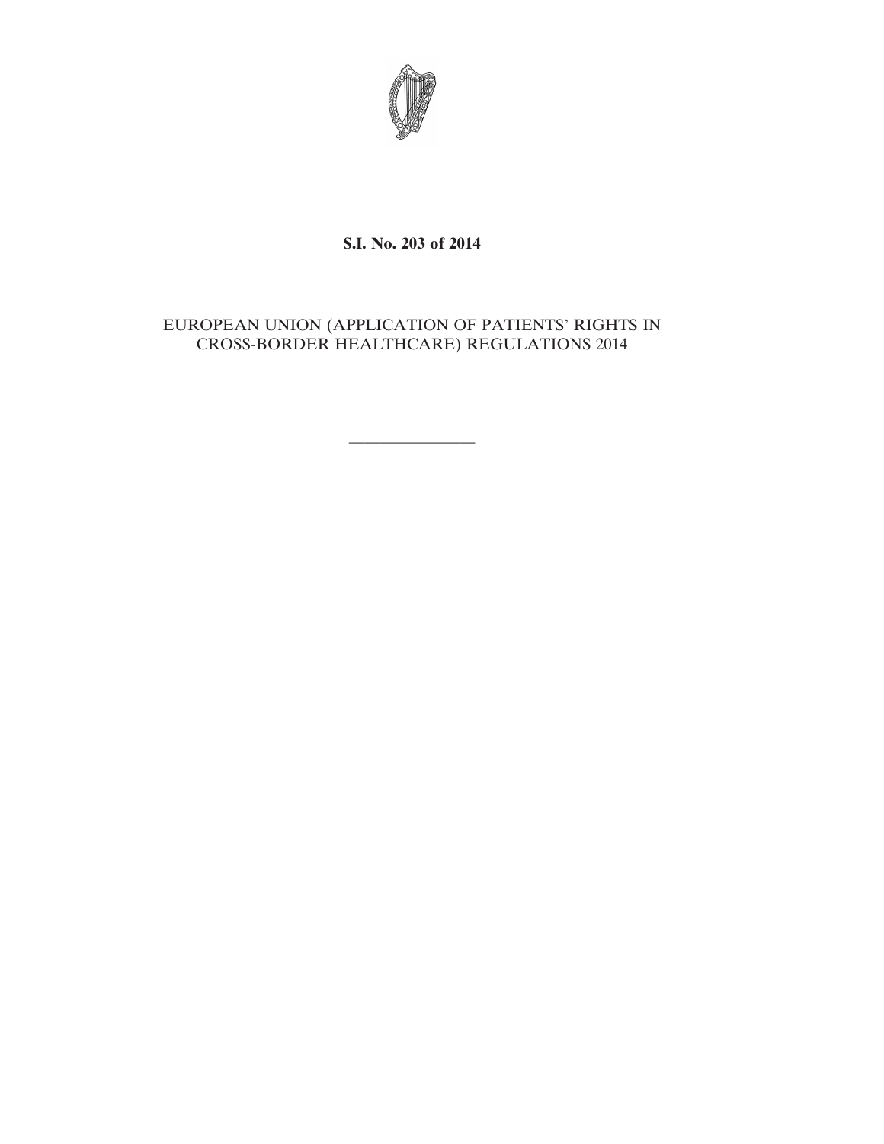

# **S.I. No. 203 of 2014**

# EUROPEAN UNION (APPLICATION OF PATIENTS' RIGHTS IN CROSS-BORDER HEALTHCARE) REGULATIONS 2014

————————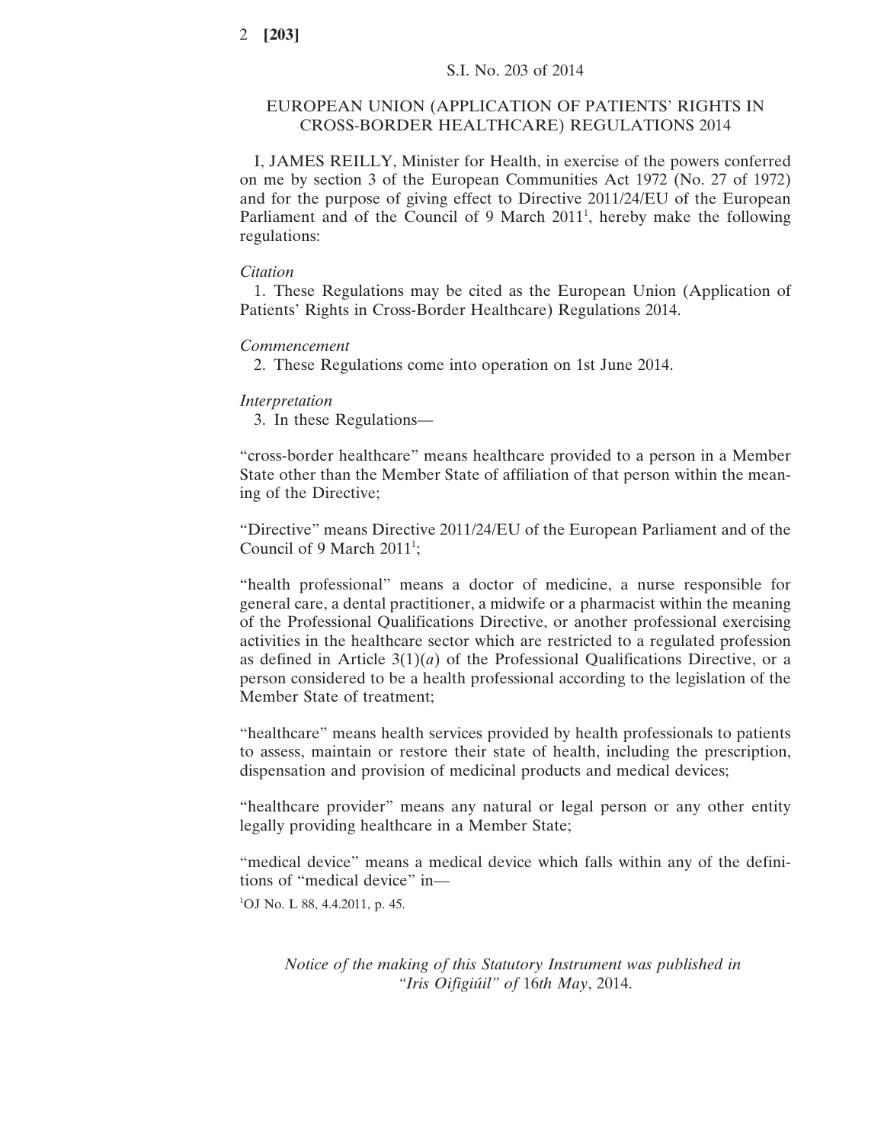# EUROPEAN UNION (APPLICATION OF PATIENTS' RIGHTS IN CROSS-BORDER HEALTHCARE) REGULATIONS 2014

I, JAMES REILLY, Minister for Health, in exercise of the powers conferred on me by section 3 of the European Communities Act 1972 (No. 27 of 1972) and for the purpose of giving effect to Directive 2011/24/EU of the European Parliament and of the Council of 9 March  $2011<sup>1</sup>$ , hereby make the following regulations:

### *Citation*

1. These Regulations may be cited as the European Union (Application of Patients' Rights in Cross-Border Healthcare) Regulations 2014.

## *Commencement*

2. These Regulations come into operation on 1st June 2014.

## *Interpretation*

3. In these Regulations—

"cross-border healthcare" means healthcare provided to a person in a Member State other than the Member State of affiliation of that person within the meaning of the Directive;

"Directive" means Directive 2011/24/EU of the European Parliament and of the Council of 9 March  $2011$ <sup>1</sup>;

"health professional" means a doctor of medicine, a nurse responsible for general care, a dental practitioner, a midwife or a pharmacist within the meaning of the Professional Qualifications Directive, or another professional exercising activities in the healthcare sector which are restricted to a regulated profession as defined in Article  $3(1)(a)$  of the Professional Qualifications Directive, or a person considered to be a health professional according to the legislation of the Member State of treatment;

"healthcare" means health services provided by health professionals to patients to assess, maintain or restore their state of health, including the prescription, dispensation and provision of medicinal products and medical devices;

"healthcare provider" means any natural or legal person or any other entity legally providing healthcare in a Member State;

"medical device" means a medical device which falls within any of the definitions of "medical device" in—

1 OJ No. L 88, 4.4.2011, p. 45.

*Notice of the making of this Statutory Instrument was published in "Iris Oifigiúil" of* 16*th May*, 2014.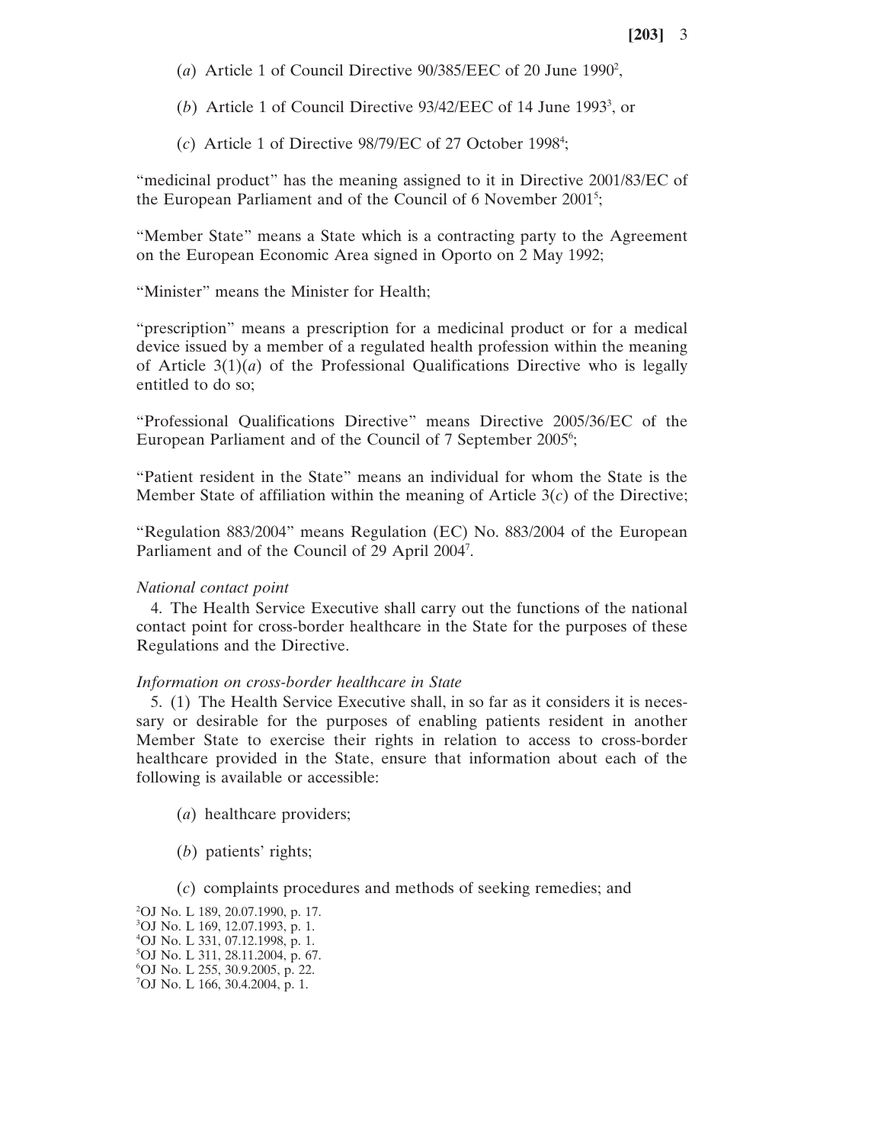- (a) Article 1 of Council Directive  $90/385/EEC$  of 20 June 1990<sup>2</sup>,
- (b) Article 1 of Council Directive  $93/42/EEC$  of 14 June 1993<sup>3</sup>, or
- (*c*) Article 1 of Directive 98/79/EC of 27 October 19984 ;

"medicinal product" has the meaning assigned to it in Directive 2001/83/EC of the European Parliament and of the Council of 6 November 2001<sup>5</sup>;

"Member State" means a State which is a contracting party to the Agreement on the European Economic Area signed in Oporto on 2 May 1992;

"Minister" means the Minister for Health;

"prescription" means a prescription for a medicinal product or for a medical device issued by a member of a regulated health profession within the meaning of Article 3(1)(*a*) of the Professional Qualifications Directive who is legally entitled to do so;

"Professional Qualifications Directive" means Directive 2005/36/EC of the European Parliament and of the Council of 7 September 2005<sup>6</sup>;

"Patient resident in the State" means an individual for whom the State is the Member State of affiliation within the meaning of Article 3(*c*) of the Directive;

"Regulation 883/2004" means Regulation (EC) No. 883/2004 of the European Parliament and of the Council of 29 April 2004<sup>7</sup>.

## *National contact point*

4. The Health Service Executive shall carry out the functions of the national contact point for cross-border healthcare in the State for the purposes of these Regulations and the Directive.

### *Information on cross-border healthcare in State*

5. (1) The Health Service Executive shall, in so far as it considers it is necessary or desirable for the purposes of enabling patients resident in another Member State to exercise their rights in relation to access to cross-border healthcare provided in the State, ensure that information about each of the following is available or accessible:

- (*a*) healthcare providers;
- (*b*) patients' rights;
- (*c*) complaints procedures and methods of seeking remedies; and

<sup>2</sup> OJ No. L 189, 20.07.1990, p. 17. 3 OJ No. L 169, 12.07.1993, p. 1. 4 OJ No. L 331, 07.12.1998, p. 1. 5 OJ No. L 311, 28.11.2004, p. 67. 6 OJ No. L 255, 30.9.2005, p. 22. 7 OJ No. L 166, 30.4.2004, p. 1.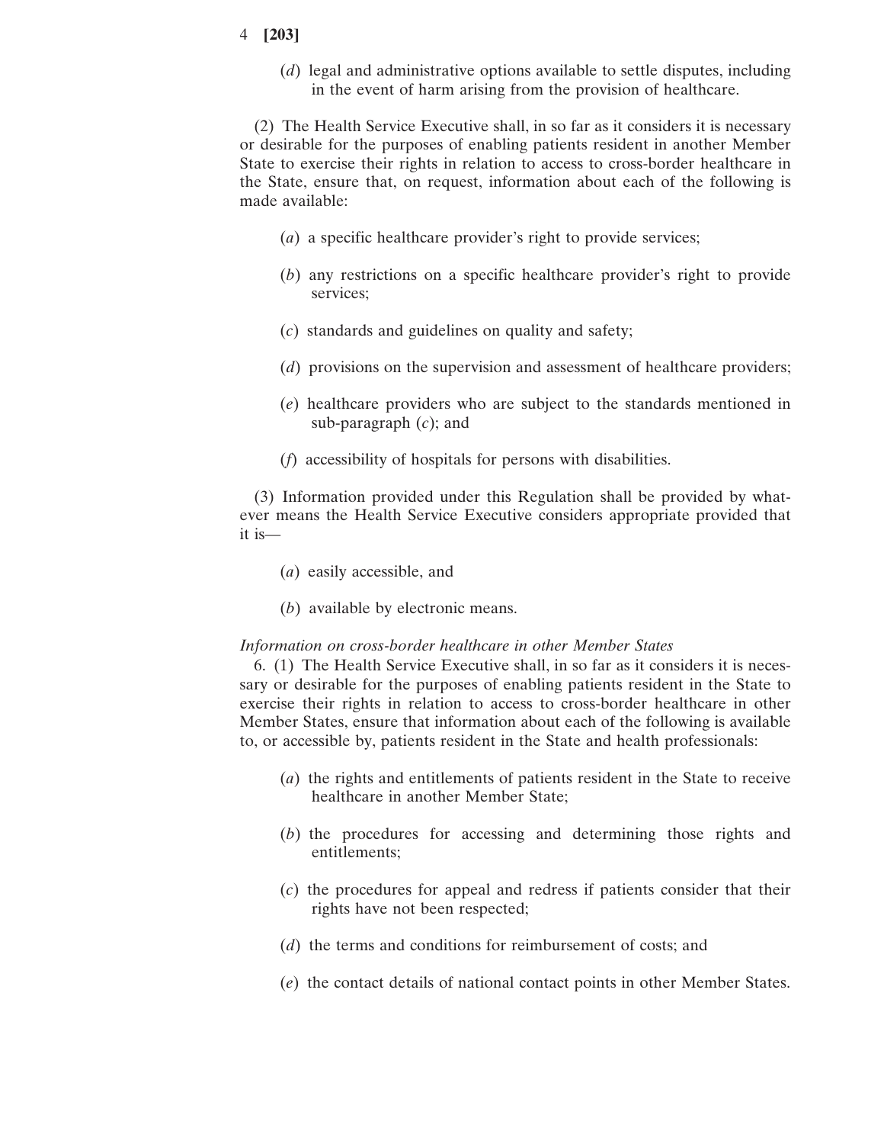(*d*) legal and administrative options available to settle disputes, including in the event of harm arising from the provision of healthcare.

(2) The Health Service Executive shall, in so far as it considers it is necessary or desirable for the purposes of enabling patients resident in another Member State to exercise their rights in relation to access to cross-border healthcare in the State, ensure that, on request, information about each of the following is made available:

- (*a*) a specific healthcare provider's right to provide services;
- (*b*) any restrictions on a specific healthcare provider's right to provide services;
- (*c*) standards and guidelines on quality and safety;
- (*d*) provisions on the supervision and assessment of healthcare providers;
- (*e*) healthcare providers who are subject to the standards mentioned in sub-paragraph (*c*); and
- (*f*) accessibility of hospitals for persons with disabilities.

(3) Information provided under this Regulation shall be provided by whatever means the Health Service Executive considers appropriate provided that it is—

- (*a*) easily accessible, and
- (*b*) available by electronic means.

## *Information on cross-border healthcare in other Member States*

6. (1) The Health Service Executive shall, in so far as it considers it is necessary or desirable for the purposes of enabling patients resident in the State to exercise their rights in relation to access to cross-border healthcare in other Member States, ensure that information about each of the following is available to, or accessible by, patients resident in the State and health professionals:

- (*a*) the rights and entitlements of patients resident in the State to receive healthcare in another Member State;
- (*b*) the procedures for accessing and determining those rights and entitlements;
- (*c*) the procedures for appeal and redress if patients consider that their rights have not been respected;
- (*d*) the terms and conditions for reimbursement of costs; and
- (*e*) the contact details of national contact points in other Member States.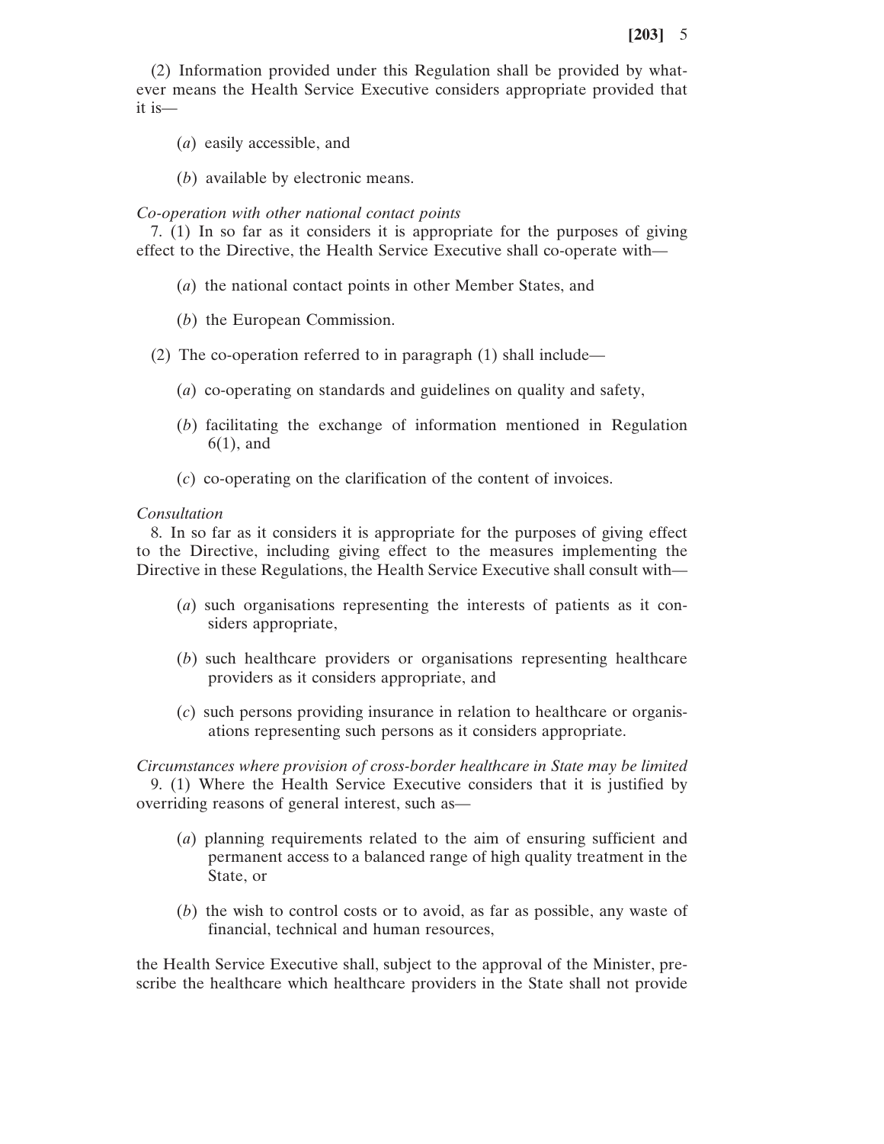(2) Information provided under this Regulation shall be provided by whatever means the Health Service Executive considers appropriate provided that it is—

- (*a*) easily accessible, and
- (*b*) available by electronic means.

## *Co-operation with other national contact points*

7. (1) In so far as it considers it is appropriate for the purposes of giving effect to the Directive, the Health Service Executive shall co-operate with—

- (*a*) the national contact points in other Member States, and
- (*b*) the European Commission.
- (2) The co-operation referred to in paragraph (1) shall include—
	- (*a*) co-operating on standards and guidelines on quality and safety,
	- (*b*) facilitating the exchange of information mentioned in Regulation 6(1), and
	- (*c*) co-operating on the clarification of the content of invoices.

## *Consultation*

8. In so far as it considers it is appropriate for the purposes of giving effect to the Directive, including giving effect to the measures implementing the Directive in these Regulations, the Health Service Executive shall consult with—

- (*a*) such organisations representing the interests of patients as it considers appropriate,
- (*b*) such healthcare providers or organisations representing healthcare providers as it considers appropriate, and
- (*c*) such persons providing insurance in relation to healthcare or organisations representing such persons as it considers appropriate.

*Circumstances where provision of cross-border healthcare in State may be limited* 9. (1) Where the Health Service Executive considers that it is justified by overriding reasons of general interest, such as—

- (*a*) planning requirements related to the aim of ensuring sufficient and permanent access to a balanced range of high quality treatment in the State, or
- (*b*) the wish to control costs or to avoid, as far as possible, any waste of financial, technical and human resources,

the Health Service Executive shall, subject to the approval of the Minister, prescribe the healthcare which healthcare providers in the State shall not provide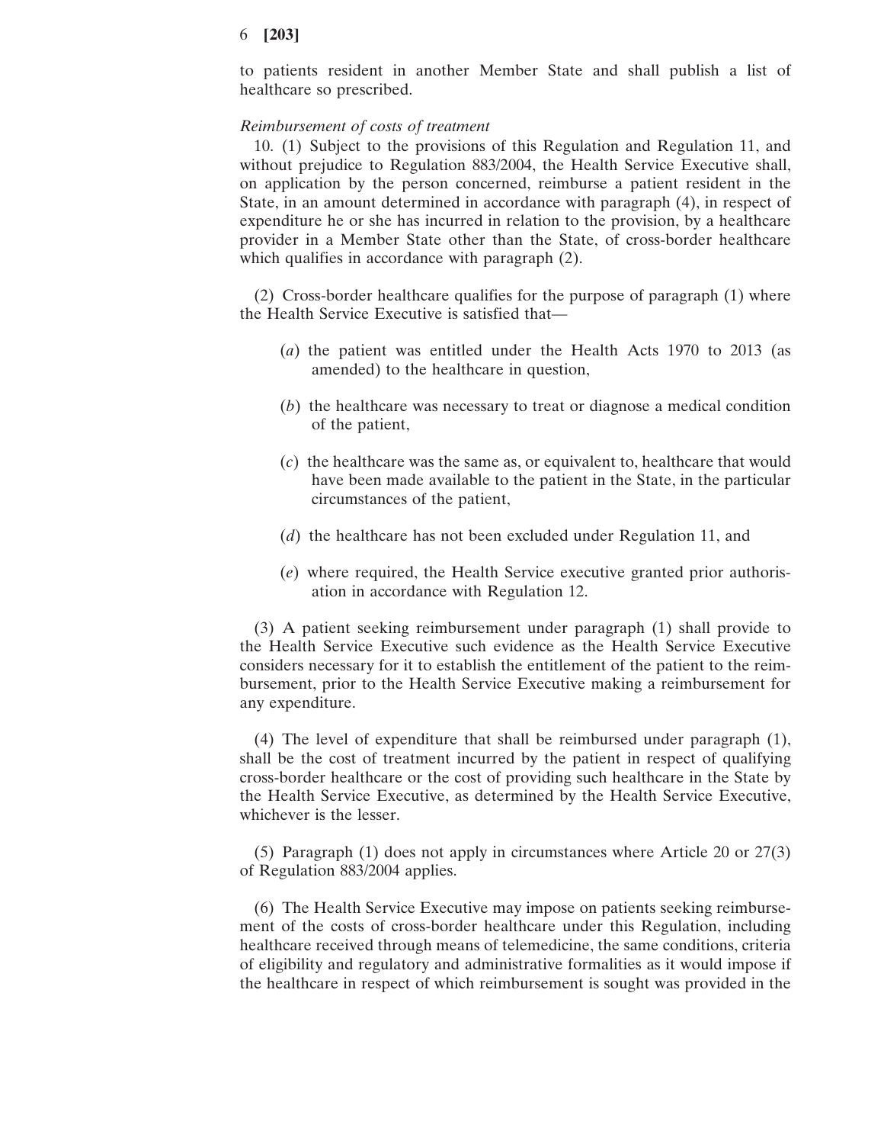to patients resident in another Member State and shall publish a list of healthcare so prescribed.

## *Reimbursement of costs of treatment*

10. (1) Subject to the provisions of this Regulation and Regulation 11, and without prejudice to Regulation 883/2004, the Health Service Executive shall, on application by the person concerned, reimburse a patient resident in the State, in an amount determined in accordance with paragraph (4), in respect of expenditure he or she has incurred in relation to the provision, by a healthcare provider in a Member State other than the State, of cross-border healthcare which qualifies in accordance with paragraph  $(2)$ .

(2) Cross-border healthcare qualifies for the purpose of paragraph (1) where the Health Service Executive is satisfied that—

- (*a*) the patient was entitled under the Health Acts 1970 to 2013 (as amended) to the healthcare in question,
- (*b*) the healthcare was necessary to treat or diagnose a medical condition of the patient,
- (*c*) the healthcare was the same as, or equivalent to, healthcare that would have been made available to the patient in the State, in the particular circumstances of the patient,
- (*d*) the healthcare has not been excluded under Regulation 11, and
- (*e*) where required, the Health Service executive granted prior authorisation in accordance with Regulation 12.

(3) A patient seeking reimbursement under paragraph (1) shall provide to the Health Service Executive such evidence as the Health Service Executive considers necessary for it to establish the entitlement of the patient to the reimbursement, prior to the Health Service Executive making a reimbursement for any expenditure.

(4) The level of expenditure that shall be reimbursed under paragraph (1), shall be the cost of treatment incurred by the patient in respect of qualifying cross-border healthcare or the cost of providing such healthcare in the State by the Health Service Executive, as determined by the Health Service Executive, whichever is the lesser.

(5) Paragraph (1) does not apply in circumstances where Article 20 or 27(3) of Regulation 883/2004 applies.

(6) The Health Service Executive may impose on patients seeking reimbursement of the costs of cross-border healthcare under this Regulation, including healthcare received through means of telemedicine, the same conditions, criteria of eligibility and regulatory and administrative formalities as it would impose if the healthcare in respect of which reimbursement is sought was provided in the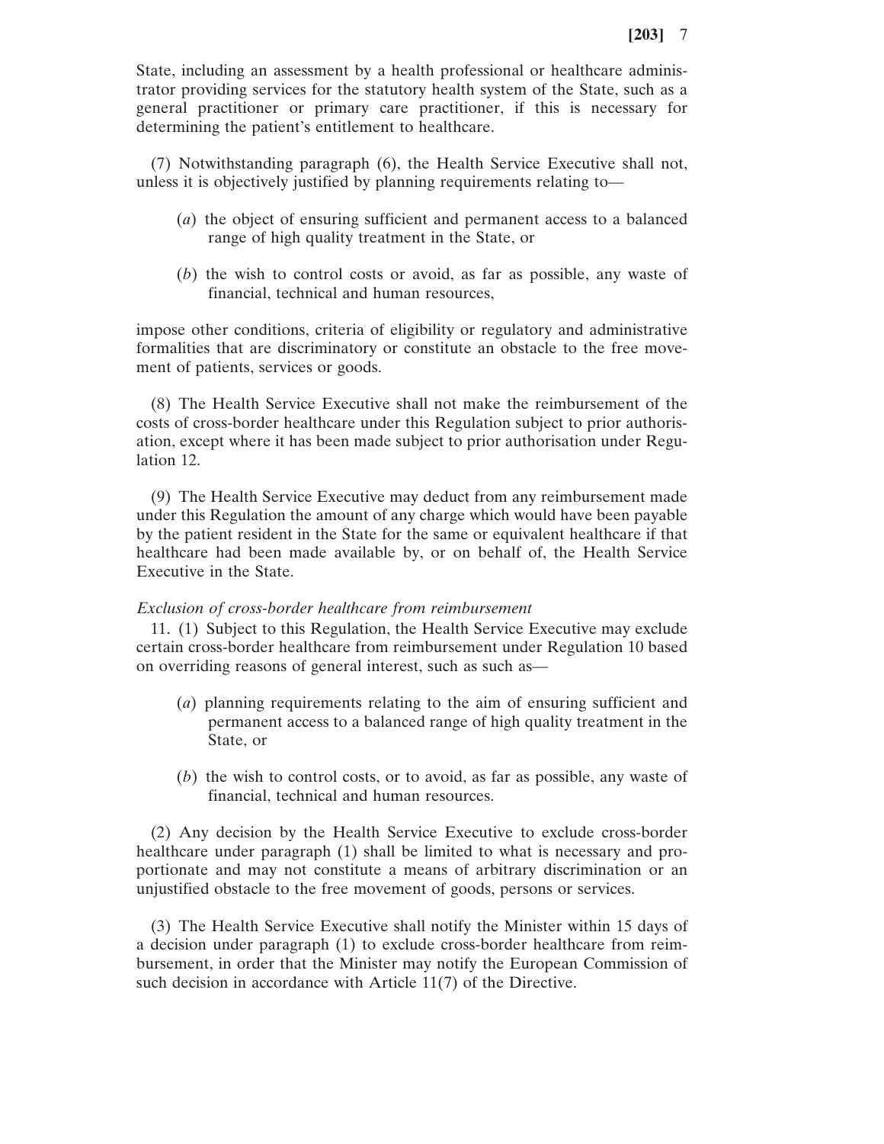State, including an assessment by a health professional or healthcare administrator providing services for the statutory health system of the State, such as a general practitioner or primary care practitioner, if this is necessary for determining the patient's entitlement to healthcare.

(7) Notwithstanding paragraph (6), the Health Service Executive shall not, unless it is objectively justified by planning requirements relating to—

- (*a*) the object of ensuring sufficient and permanent access to a balanced range of high quality treatment in the State, or
- (*b*) the wish to control costs or avoid, as far as possible, any waste of financial, technical and human resources,

impose other conditions, criteria of eligibility or regulatory and administrative formalities that are discriminatory or constitute an obstacle to the free movement of patients, services or goods.

(8) The Health Service Executive shall not make the reimbursement of the costs of cross-border healthcare under this Regulation subject to prior authorisation, except where it has been made subject to prior authorisation under Regulation 12.

(9) The Health Service Executive may deduct from any reimbursement made under this Regulation the amount of any charge which would have been payable by the patient resident in the State for the same or equivalent healthcare if that healthcare had been made available by, or on behalf of, the Health Service Executive in the State.

# *Exclusion of cross-border healthcare from reimbursement*

11. (1) Subject to this Regulation, the Health Service Executive may exclude certain cross-border healthcare from reimbursement under Regulation 10 based on overriding reasons of general interest, such as such as—

- (*a*) planning requirements relating to the aim of ensuring sufficient and permanent access to a balanced range of high quality treatment in the State, or
- (*b*) the wish to control costs, or to avoid, as far as possible, any waste of financial, technical and human resources.

(2) Any decision by the Health Service Executive to exclude cross-border healthcare under paragraph (1) shall be limited to what is necessary and proportionate and may not constitute a means of arbitrary discrimination or an unjustified obstacle to the free movement of goods, persons or services.

(3) The Health Service Executive shall notify the Minister within 15 days of a decision under paragraph (1) to exclude cross-border healthcare from reimbursement, in order that the Minister may notify the European Commission of such decision in accordance with Article 11(7) of the Directive.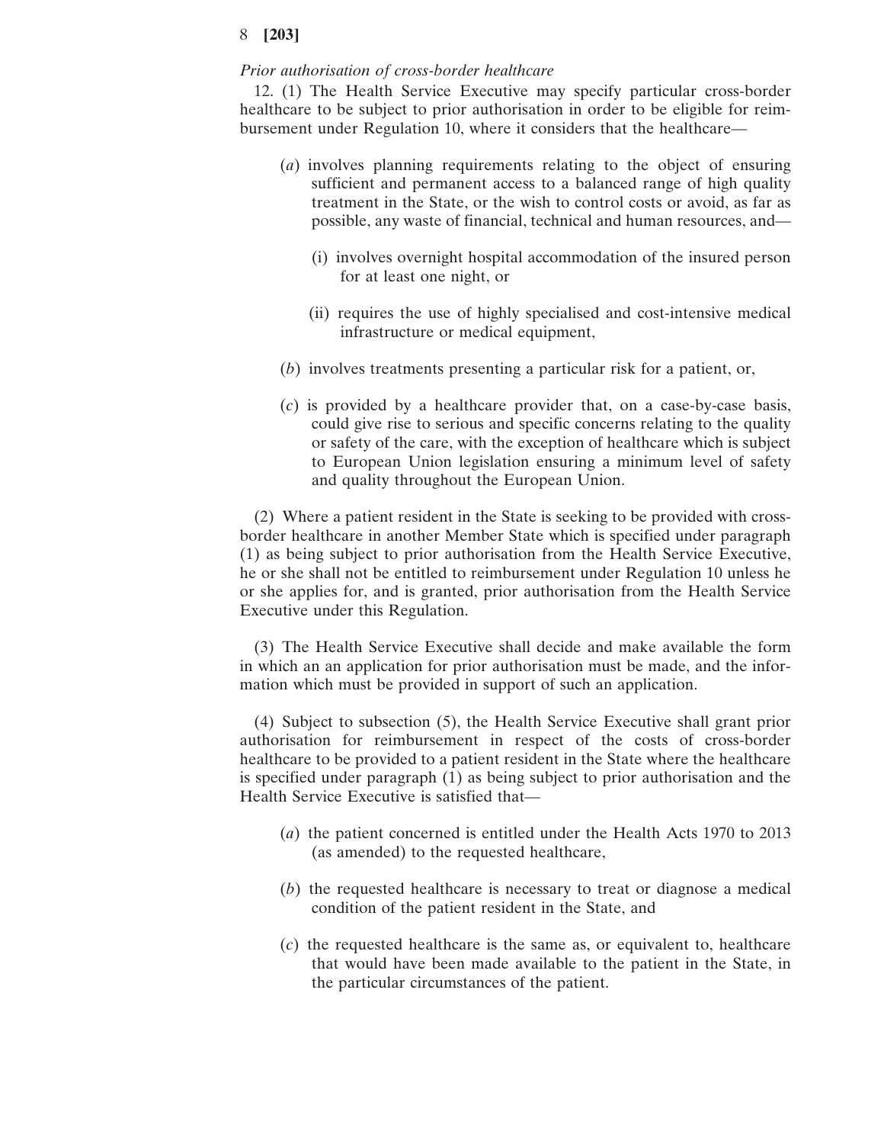## *Prior authorisation of cross-border healthcare*

12. (1) The Health Service Executive may specify particular cross-border healthcare to be subject to prior authorisation in order to be eligible for reimbursement under Regulation 10, where it considers that the healthcare—

- (*a*) involves planning requirements relating to the object of ensuring sufficient and permanent access to a balanced range of high quality treatment in the State, or the wish to control costs or avoid, as far as possible, any waste of financial, technical and human resources, and—
	- (i) involves overnight hospital accommodation of the insured person for at least one night, or
	- (ii) requires the use of highly specialised and cost-intensive medical infrastructure or medical equipment,
- (*b*) involves treatments presenting a particular risk for a patient, or,
- (*c*) is provided by a healthcare provider that, on a case-by-case basis, could give rise to serious and specific concerns relating to the quality or safety of the care, with the exception of healthcare which is subject to European Union legislation ensuring a minimum level of safety and quality throughout the European Union.

(2) Where a patient resident in the State is seeking to be provided with crossborder healthcare in another Member State which is specified under paragraph (1) as being subject to prior authorisation from the Health Service Executive, he or she shall not be entitled to reimbursement under Regulation 10 unless he or she applies for, and is granted, prior authorisation from the Health Service Executive under this Regulation.

(3) The Health Service Executive shall decide and make available the form in which an an application for prior authorisation must be made, and the information which must be provided in support of such an application.

(4) Subject to subsection (5), the Health Service Executive shall grant prior authorisation for reimbursement in respect of the costs of cross-border healthcare to be provided to a patient resident in the State where the healthcare is specified under paragraph (1) as being subject to prior authorisation and the Health Service Executive is satisfied that—

- (*a*) the patient concerned is entitled under the Health Acts 1970 to 2013 (as amended) to the requested healthcare,
- (*b*) the requested healthcare is necessary to treat or diagnose a medical condition of the patient resident in the State, and
- (*c*) the requested healthcare is the same as, or equivalent to, healthcare that would have been made available to the patient in the State, in the particular circumstances of the patient.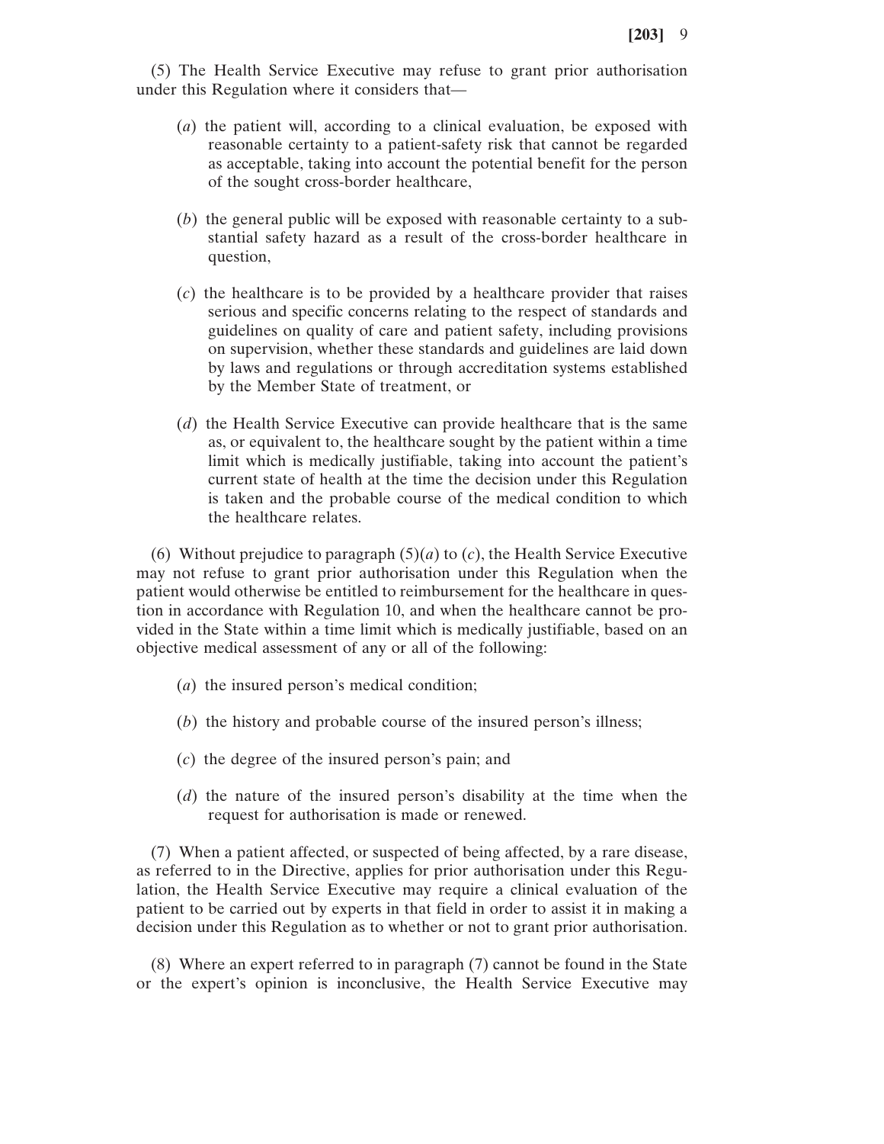(5) The Health Service Executive may refuse to grant prior authorisation under this Regulation where it considers that—

- (*a*) the patient will, according to a clinical evaluation, be exposed with reasonable certainty to a patient-safety risk that cannot be regarded as acceptable, taking into account the potential benefit for the person of the sought cross-border healthcare,
- (*b*) the general public will be exposed with reasonable certainty to a substantial safety hazard as a result of the cross-border healthcare in question,
- (*c*) the healthcare is to be provided by a healthcare provider that raises serious and specific concerns relating to the respect of standards and guidelines on quality of care and patient safety, including provisions on supervision, whether these standards and guidelines are laid down by laws and regulations or through accreditation systems established by the Member State of treatment, or
- (*d*) the Health Service Executive can provide healthcare that is the same as, or equivalent to, the healthcare sought by the patient within a time limit which is medically justifiable, taking into account the patient's current state of health at the time the decision under this Regulation is taken and the probable course of the medical condition to which the healthcare relates.

(6) Without prejudice to paragraph  $(5)(a)$  to  $(c)$ , the Health Service Executive may not refuse to grant prior authorisation under this Regulation when the patient would otherwise be entitled to reimbursement for the healthcare in question in accordance with Regulation 10, and when the healthcare cannot be provided in the State within a time limit which is medically justifiable, based on an objective medical assessment of any or all of the following:

- (*a*) the insured person's medical condition;
- (*b*) the history and probable course of the insured person's illness;
- (*c*) the degree of the insured person's pain; and
- (*d*) the nature of the insured person's disability at the time when the request for authorisation is made or renewed.

(7) When a patient affected, or suspected of being affected, by a rare disease, as referred to in the Directive, applies for prior authorisation under this Regulation, the Health Service Executive may require a clinical evaluation of the patient to be carried out by experts in that field in order to assist it in making a decision under this Regulation as to whether or not to grant prior authorisation.

(8) Where an expert referred to in paragraph (7) cannot be found in the State or the expert's opinion is inconclusive, the Health Service Executive may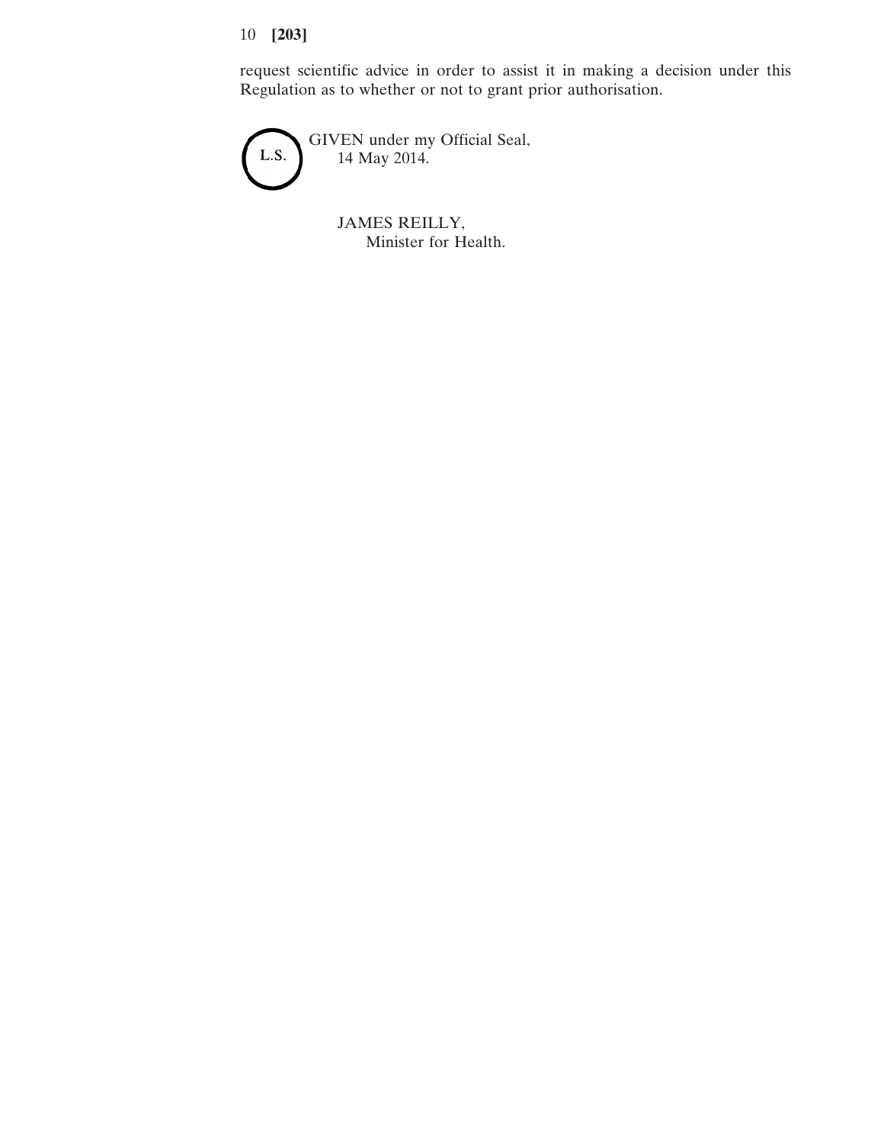request scientific advice in order to assist it in making a decision under this Regulation as to whether or not to grant prior authorisation.



JAMES REILLY, Minister for Health.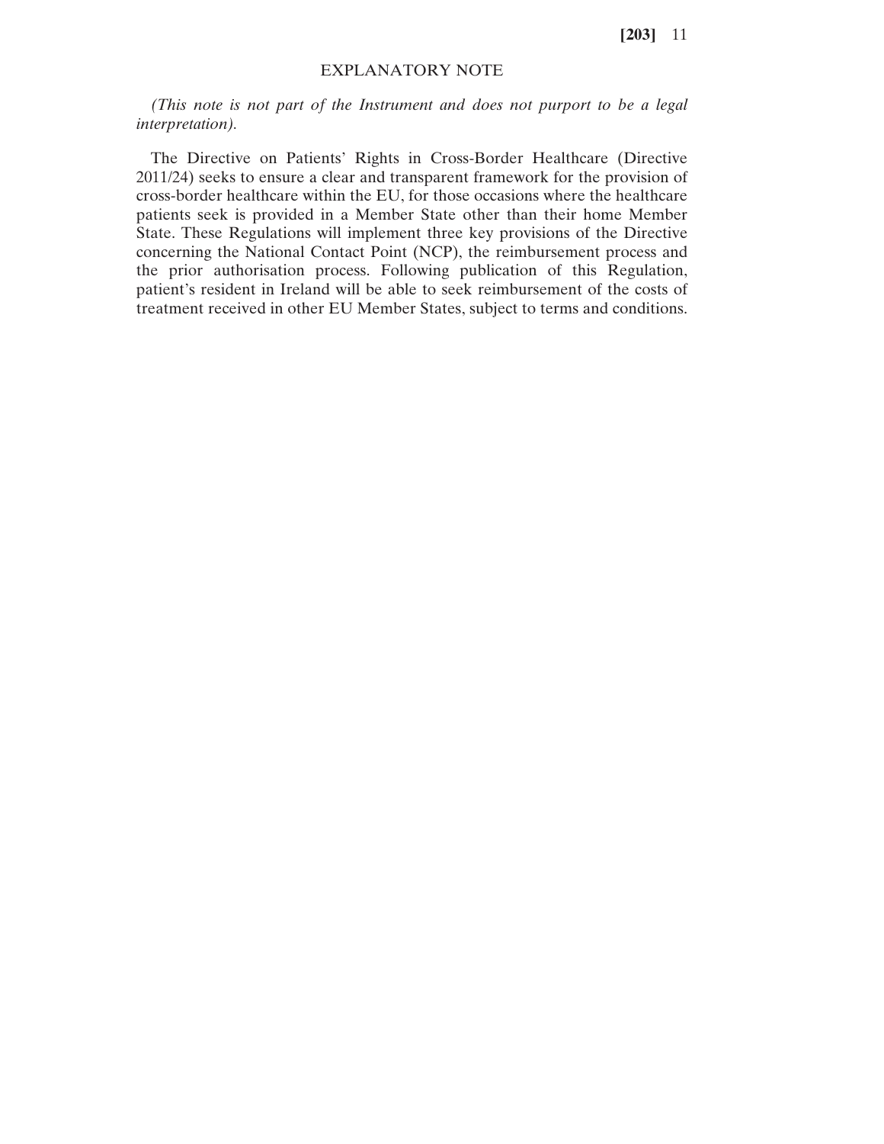# EXPLANATORY NOTE

*(This note is not part of the Instrument and does not purport to be a legal interpretation).*

The Directive on Patients' Rights in Cross-Border Healthcare (Directive 2011/24) seeks to ensure a clear and transparent framework for the provision of cross-border healthcare within the EU, for those occasions where the healthcare patients seek is provided in a Member State other than their home Member State. These Regulations will implement three key provisions of the Directive concerning the National Contact Point (NCP), the reimbursement process and the prior authorisation process. Following publication of this Regulation, patient's resident in Ireland will be able to seek reimbursement of the costs of treatment received in other EU Member States, subject to terms and conditions.